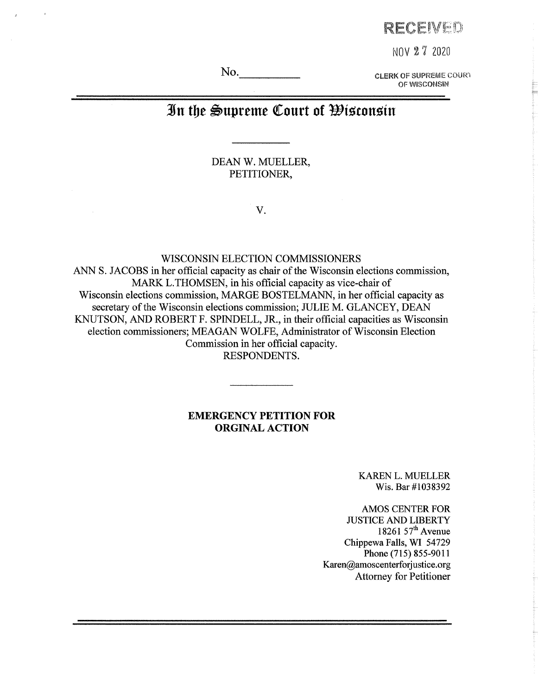## **FtECEiVEP**

**NOV 2 7 2020**

No. The CLERK OF SUPREME COURT **OF WISCONSIN**

# **3fn tfie Supreme Court of ^tocon^tu**

DEAN W. MUELLER, PETITIONER,

**V.**

WISCONSIN ELECTION COMMISSIONERS

ANN S. JACOBS in her official capacity as chair of the Wisconsin elections commission, MARK L.THOMSEN, in his official capacity as vice-chair of Wisconsin elections commission, MARGE BOSTELMANN, in her official capacity as secretary of the Wisconsin elections commission; JULIE M. GLANCEY, DEAN KNUTSON, AND ROBERT F. SPINDELL, JR., in their official capacities as Wisconsin election commissioners; MEAGAN WOLFE, Administrator of Wisconsin Election Commission in her official capacity. RESPONDENTS.

### **EMERGENCY PETITION FOR ORGINAL ACTION**

KAREN L. MUELLER Wis. Bar #1038392

AMOS CENTER FOR JUSTICE AND LIBERTY 18261  $57<sup>th</sup>$  Avenue Chippewa Falls, WI 54729 Phone (715) 855-9011 [Karen@amoscenterforjustice.org](mailto:Karen@amoscenterforjustice.org) Attorney for Petitioner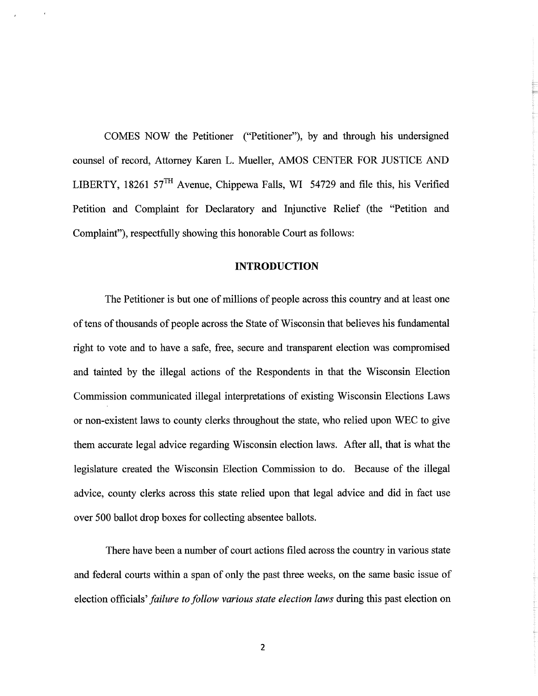COMES NOW the Petitioner ("Petitioner"), by and through his undersigned counsel of record, Attorney Karen L. Mueller, AMOS CENTER FOR JUSTICE AND LIBERTY, 18261 57 $^{TH}$  Avenue, Chippewa Falls, WI 54729 and file this, his Verified Petition and Complaint for Declaratory and Injunctive Relief (the "Petition and Complaint"), respectfully showing this honorable Court as follows:

### **INTRODUCTION**

The Petitioner is but one of millions of people across this country and at least one of tens of thousands of people across the State of Wisconsin that believes his fundamental right to vote and to have a safe, free, secure and transparent election was compromised and tainted by the illegal actions of the Respondents in that the Wisconsin Election Commission communicated illegal interpretations of existing Wisconsin Elections Laws or non-existent laws to county clerks throughout the state, who relied upon WEC to give them accurate legal advice regarding Wisconsin election laws. After all, that is what the legislature created the Wisconsin Election Commission to do. Because of the illegal advice, county clerks across this state relied upon that legal advice and did in fact use over 500 ballot drop boxes for collecting absentee ballots.

There have been a number of court actions filed across the country in various state and federal courts within a span of only the past three weeks, on the same basic issue of election officials' *failure to follow various state election laws* during this past election on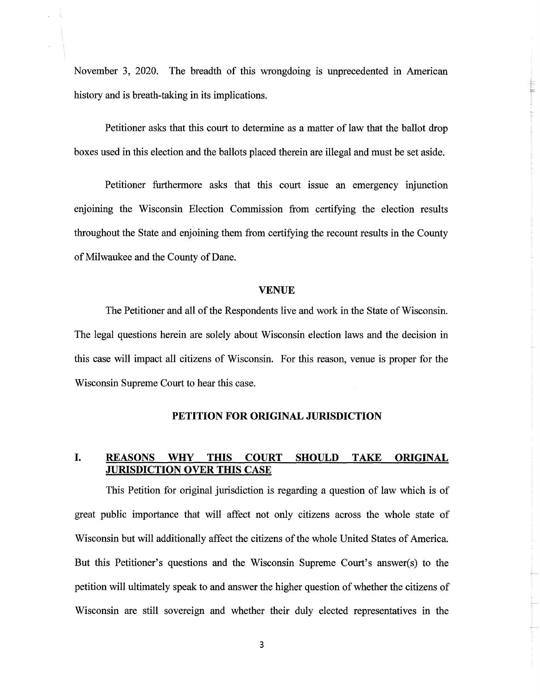November 3, 2020. The breadth of this wrongdoing is unprecedented in American history and is breath-taking in its implications.

Petitioner asks that this court to determine as a matter of law that the ballot drop boxes used in this election and the ballots placed therein are illegal and must be set aside.

Petitioner furthermore asks that this court issue an emergency injunction enjoining the Wisconsin Election Commission from certifying the election results throughout the State and enjoining them from certifying the recount results in the County of Milwaukee and the County of Dane.

#### **VENUE**

The Petitioner and all of the Respondents live and work in the State of Wisconsin. The legal questions herein are solely about Wisconsin election laws and the decision in this case will impact all citizens of Wisconsin. For this reason, venue is proper for the Wisconsin Supreme Court to hear this case.

### **PETITION FOR ORIGINAL JURISDICTION**

### **L REASONS WHY THIS COURT SHOULD TAKE ORIGINAL JURISDICTION OVER THIS CASE**

This Petition for original jurisdiction is regarding a question of law which is of great public importance that will affect not only citizens across the whole state of Wisconsin but will additionally affect the citizens of the whole United States of America. But this Petitioner's questions and the Wisconsin Supreme Court's answer(s) to the petition will ultimately speak to and answer the higher question of whether the citizens of Wisconsin are still sovereign and whether their duly elected representatives in the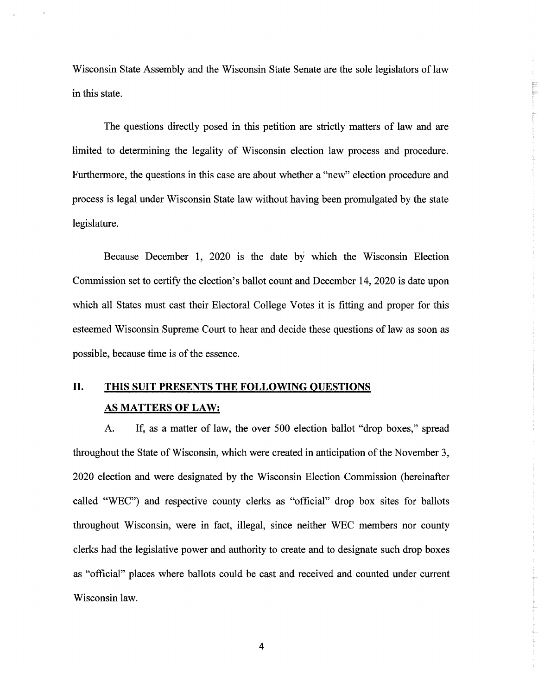Wisconsin State Assembly and the Wisconsin State Senate are the sole legislators of law in this state.

The questions directly posed in this petition are strictly matters of law and are limited to determining the legality of Wisconsin election law process and procedure. Furthermore, the questions in this case are about whether a "new" election procedure and process is legal under Wisconsin State law without having been promulgated by the state legislature.

Because December 1, 2020 is the date by which the Wisconsin Election Commission set to certify the election's ballot count and December 14, 2020 is date upon which all States must cast their Electoral College Votes it is fitting and proper for this esteemed Wisconsin Supreme Court to hear and decide these questions of law as soon as possible, because time is of the essence.

## **II. Tins SUIT PRESENTS THE FOLLOWING QUESTIONS AS MATTERS OF LAW:**

A. If, as a matter of law, the over 500 election ballot "drop boxes," spread throughout the State of Wisconsin, which were created in anticipation of the November 3, 2020 election and were designated by the Wisconsin Election Commission (hereinafter called "WEC") and respective county clerks as "official" drop box sites for ballots throughout Wisconsin, were in fact, illegal, since neither WEC members nor county clerks had the legislative power and authority to create and to designate such drop boxes as "official" places where ballots could be cast and received and counted under current Wisconsin law.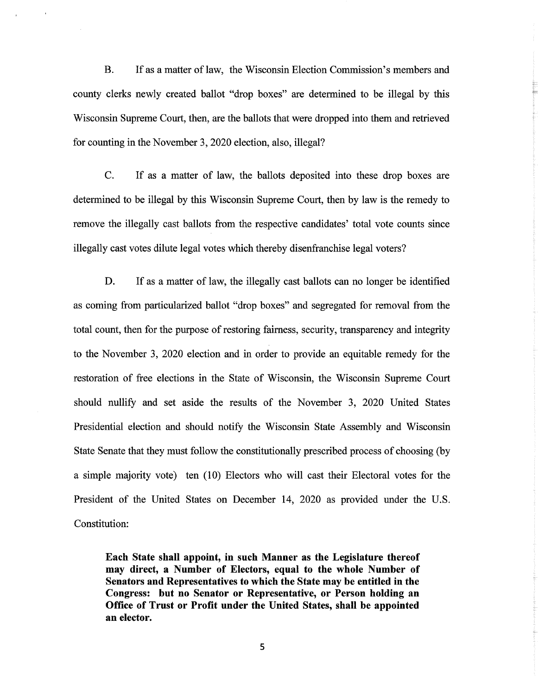B. If as a matter of law, the Wisconsin Election Commission's members and county clerks newly created ballot "drop boxes" are determined to be illegal by this Wisconsin Supreme Court, then, are the ballots that were dropped into them and retrieved for counting in the November 3,2020 election, also, illegal?

C. If as a matter of law, the ballots deposited into these drop boxes are determined to be illegal by this Wisconsin Supreme Court, then by law is the remedy to remove the illegally cast ballots from the respective candidates' total vote counts since illegally cast votes dilute legal votes which thereby disenfranchise legal voters?

D. If as a matter of law, the illegally cast ballots can no longer be identified as coming from particularized ballot "drop boxes" and segregated for removal from the total count, then for the purpose of restoring fairness, security, transparency and integrity to the November 3, 2020 election and in order to provide an equitable remedy for the restoration of free elections in the State of Wisconsin, the Wisconsin Supreme Court should nullify and set aside the results of the November 3, 2020 United States Presidential election and should notify the Wisconsin State Assembly and Wisconsin State Senate that they must follow the constitutionally prescribed process of choosing (by a simple majority vote) ten (10) Electors who will cast their Electoral votes for the President of the United States on December 14, 2020 as provided under the U.S. Constitution:

**Each State shall appoint, in such Manner as the Legislature thereof may direct, a Number of Electors, equal to the whole Number of Senators and Representatives to which the State may be entitled in the Congress: but no Senator or Representative, or Person holding an Office of Trust or Profit under the United States, shall be appointed an elector.**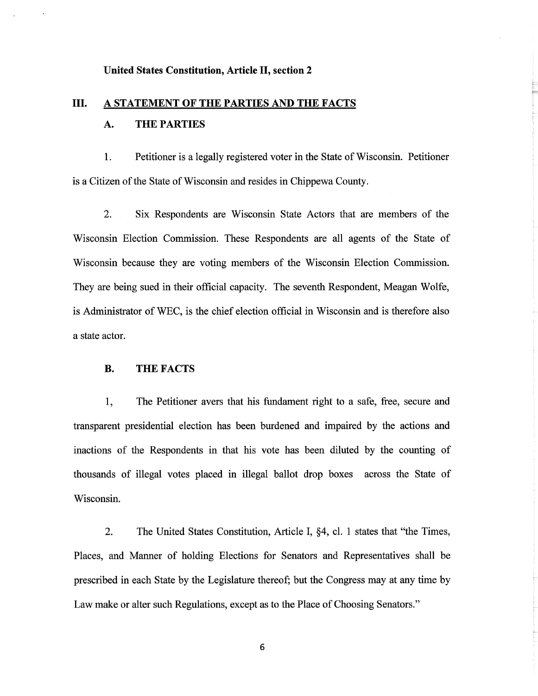#### **United States Constitution, Article II, section 2**

# **III. A STATEMENT OF THE PARTIES AND THE FACTS A. THE PARTIES**

1. Petitioner is a legally registered voter in the State of Wisconsin. Petitioner is a Citizen of the State of Wisconsin and resides in Chippewa County.

2. Six Respondents are Wisconsin State Actors that are members of the Wisconsin Election Commission. These Respondents are all agents of the State of Wisconsin because they are voting members of the Wisconsin Election Commission. They are being sued in their official capacity. The seventh Respondent, Meagan Wolfe, is Administrator of WEC, is the chief election official in Wisconsin and is therefore also a state actor.

### **B. THE FACTS**

1, The Petitioner avers that his fundament right to a safe, free, secure and transparent presidential election has been burdened and impaired by the actions and inactions of the Respondents in that his vote has been diluted by the counting of thousands of illegal votes placed in illegal ballot drop boxes across the State of Wisconsin.

2. The United States Constitution, Article I, §4, cl. <sup>1</sup> states that "the Times, Places, and Manner of holding Elections for Senators and Representatives shall be prescribed in each State by the Legislature thereof; but the Congress may at any time by Law make or alter such Regulations, except as to the Place of Choosing Senators."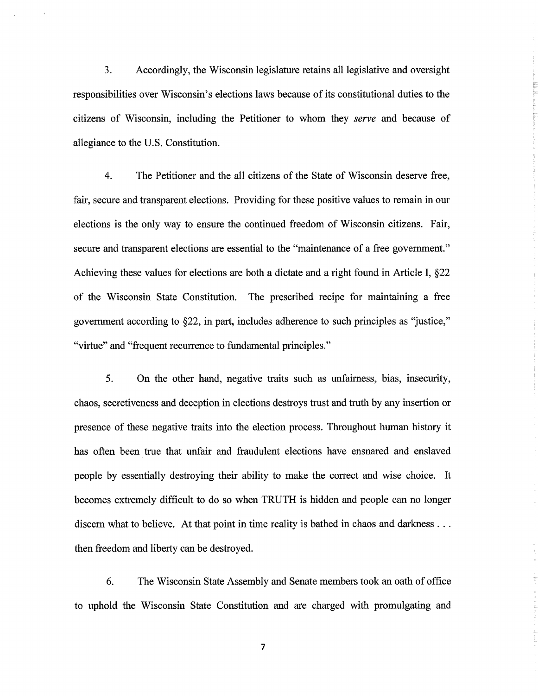3. Accordingly, the Wisconsin legislature retains all legislative and oversight responsibilities over Wisconsin's elections laws because of its constitutional duties to the citizens of Wisconsin, including the Petitioner to whom they *serve* and because of allegiance to the U.S. Constitution.

4. The Petitioner and the all citizens of the State of Wisconsin deserve free, fair, secure and transparent elections. Providing for these positive values to remain in our elections is the only way to ensure the continued freedom of Wisconsin citizens. Fair, secure and transparent elections are essential to the "maintenance of a free government." Achieving these values for elections are both a dictate and a right found in Article I, §22 of the Wisconsin State Constitution. The prescribed recipe for maintaining a free government according to §22, in part, includes adherence to such principles as "justice," "virtue" and "frequent recurrence to fundamental principles."

5. On the other hand, negative traits such as unfairness, bias, insecurity, chaos, secretiveness and deception in elections destroys trust and truth by any insertion or presence of these negative traits into the election process. Throughout human history it has often been true that unfair and fraudulent elections have ensnared and enslaved people by essentially destroying their ability to make the correct and wise choice. It becomes extremely difficult to do so when TRUTH is hidden and people can no longer discern what to believe. At that point in time reality is bathed in chaos and darkness . . . then freedom and liberty can be destroyed.

6. The Wisconsin State Assembly and Senate members took an oath of office to uphold the Wisconsin State Constitution and are charged with promulgating and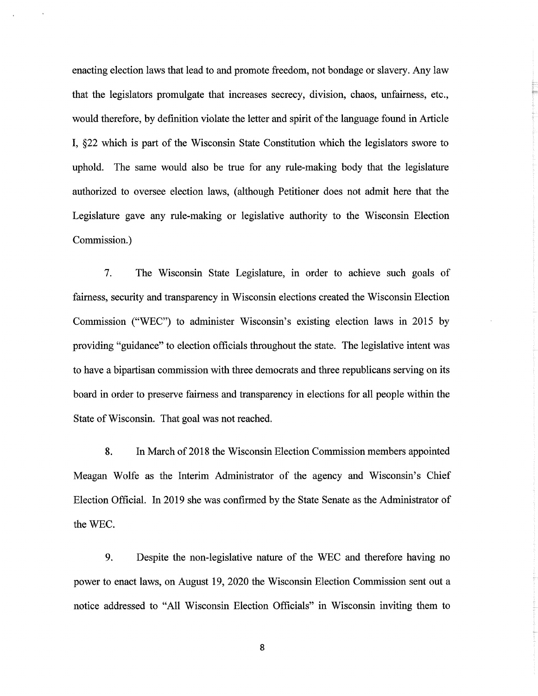enacting election laws that lead to and promote freedom, not bondage or slavery. Any law that the legislators promulgate that increases secrecy, division, chaos, unfairness, etc., would therefore, by definition violate the letter and spirit of the language found in Article I, §22 which is part of the Wisconsin State Constitution which the legislators swore to uphold. The same would also be true for any rule-making body that the legislature authorized to oversee election laws, (although Petitioner does not admit here that the Legislature gave any rule-making or legislative authority to the Wisconsin Election Commission.)

7. The Wisconsin State Legislature, in order to achieve such goals of fairness, security and transparency in Wisconsin elections created the Wisconsin Election Commission ("WEC") to administer Wisconsin's existing election laws in 2015 by providing "guidance" to election officials throughout the state. The legislative intent was to have a bipartisan commission with three democrats and three republicans serving on its board in order to preserve fairness and transparency in elections for all people within the State of Wisconsin. That goal was not reached.

8. In March of 2018 the Wisconsin Election Commission members appointed Meagan Wolfe as the Interim Administrator of the agency and Wisconsin's Chief Election Official. In 2019 she was confirmed by the State Senate as the Administrator of the WEC.

9. Despite the non-legislative nature of the WEC and therefore having no power to enact laws, on August 19, 2020 the Wisconsin Election Commission sent out a notice addressed to "All Wisconsin Election Officials" in Wisconsin inviting them to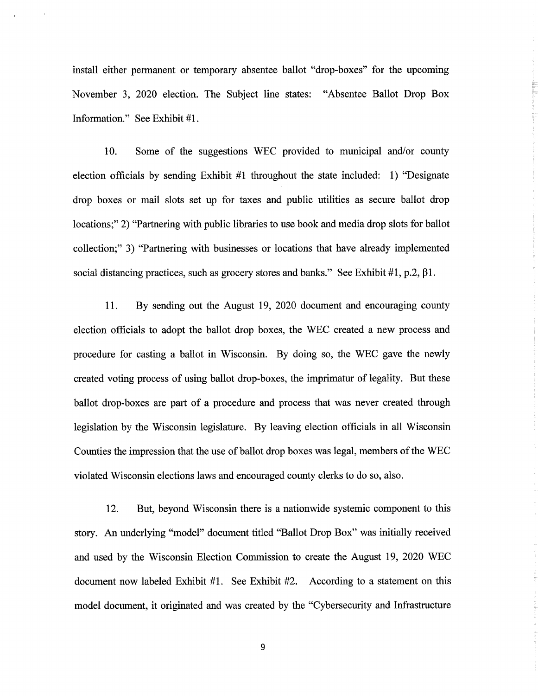install either permanent or temporary absentee ballot "drop-boxes" for the upcoming November 3, 2020 election. The Subject line states: "Absentee Ballot Drop Box Information." See Exhibit #1.

10. Some of the suggestions WEC provided to municipal and/or county election officials by sending Exhibit #1 throughout the state included: 1) "Designate drop boxes or mail slots set up for taxes and public utilities as secure ballot drop locations;" 2) "Partnering with public libraries to use book and media drop slots for ballot collection;" 3) "Partnering with businesses or locations that have already implemented social distancing practices, such as grocery stores and banks." See Exhibit  $#1$ , p.2,  $\beta1$ .

11. By sending out the August 19, 2020 document and encouraging county election officials to adopt the ballot drop boxes, the WEC created a new process and procedure for casting a ballot in Wisconsin. By doing so, the WEC gave the newly created voting process of using ballot drop-boxes, the imprimatur of legality. But these ballot drop-boxes are part of a procedure and process that was never created through legislation by the Wisconsin legislature. By leaving election officials in all Wisconsin Counties the impression that the use of ballot drop boxes was legal, members of the WEC violated Wisconsin elections laws and encouraged county clerks to do so, also.

12. But, beyond Wisconsin there is a nationwide systemic component to this story. An underlying "model" document titled "Ballot Drop Box" was initially received and used by the Wisconsin Election Commission to create the August 19, 2020 WEC document now labeled Exhibit #1. See Exhibit #2. According to a statement on this model document, it originated and was created by the "Cybersecurity and Infrastructure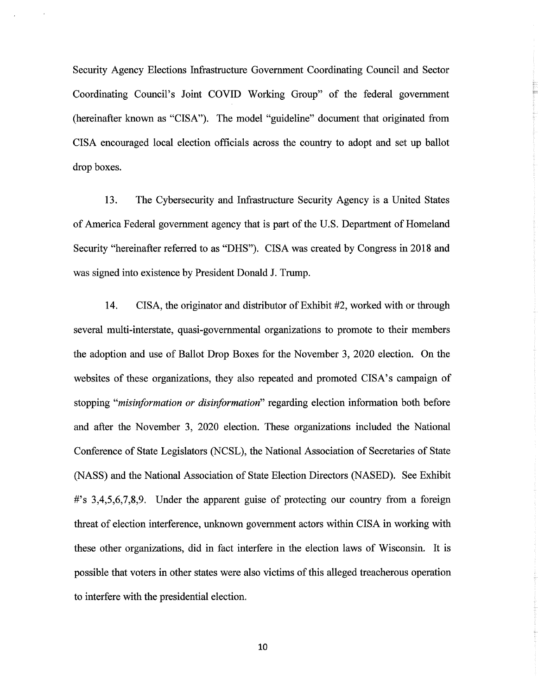Security Agency Elections Infrastructure Government Coordinating Council and Sector Coordinating Council's Joint COVID Working Group" of the federal government (hereinafter known as "CISA"). The model "guideline" document that originated from CISA encouraged local election officials across the country to adopt and set up ballot drop boxes.

13. The Cybersecurity and Infrastructure Security Agency is a United States of America Federal government agency that is part of the U.S. Department of Homeland Security "hereinafter referred to as "DHS"). CISA was created by Congress in 2018 and was signed into existence by President Donald J. Trump.

14. CISA, the originator and distributor of Exhibit #2, worked with or through several multi-interstate, quasi-governmental organizations to promote to their members the adoption and use of Ballot Drop Boxes for the November 3, 2020 election. On the websites of these organizations, they also repeated and promoted CISA's campaign of stopping *"misinformation or disinformation"* regarding election information both before and after the November 3, 2020 election. These organizations included the National Conference of State Legislators (NCSL), the National Association of Secretaries of State (NASS) and the National Association of State Election Directors (NASED). See Exhibit #'s 3,4,5,6,7,8,9. Under the apparent guise of protecting our country from a foreign threat of election interference, unknown government actors within CISA in working with these other organizations, did in fact interfere in the election laws of Wisconsin. It is possible that voters in other states were also victims of this alleged treacherous operation to interfere with the presidential election.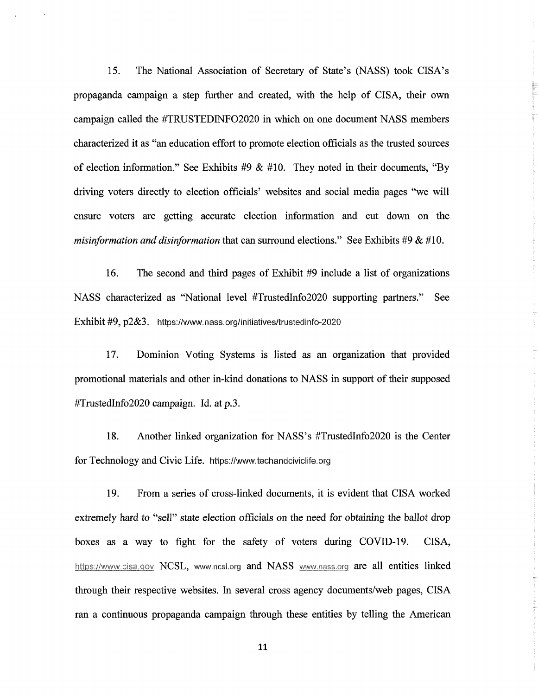15. The National Association of Secretary of State's (NASS) took CISA's propaganda campaign a step further and created, with the help of CISA, their own campaign called the #TRUSTEDINF02020 in which on one document NASS members characterized it as "an education effort to promote election officials as the trusted sources of election information." See Exhibits *#9* & #10. They noted in their documents, "By driving voters directly to election officials' websites and social media pages "we will ensure voters are getting accurate election information and cut down on the *misinformation and disinformation* that can surround elections." See Exhibits #9 & #10.

16. The second and third pages of Exhibit #9 include a list of organizations NASS characterized as "National level #TrustedInfo2020 supporting partners." See Exhibit #9, p2&3. **<https://www.nass.org/initiatives/trustedinfo-2020>**

17. Dominion Voting Systems is listed as an organization that provided promotional materials and other in-kind donations to NASS in support of their supposed #TrustedInfo2020 campaign. Id. at p.3.

18. Another linked organization for NASS's #TrustedInfo2020 is the Center for Technology and Civic Life, **<https://www.techandciviclife.org>**

19. From a series of cross-linked documents, it is evident that CISA worked extremely hard to "sell" state election officials on the need for obtaining the ballot drop boxes as a way to fight for the safety of voters during COVID-19. CISA, <https://www.cisa.qov> NCSL, **[www.ncsl.org](http://www.ncsl.org)** and NASS [www.nass.org](http://www.nass.org) are all entities linked through their respective websites. In several cross agency documents/web pages, CISA ran a continuous propaganda campaign through these entities by telling the American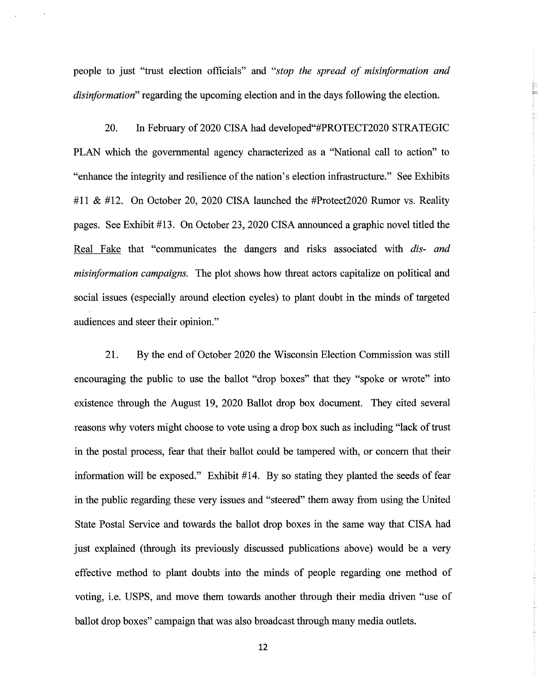people to just "trast election officials" and *"stop the spread of misinformation and disinformation"* regarding the upcoming election and in the days following the election.

20. In February of 2020 CISA had developed"#PROTECT2020 STRATEGIC PLAN which the governmental agency characterized as a "National call to action" to "enhance the integrity and resilience of the nation's election infrastructure." See Exhibits #11 & #12. On October 20, 2020 CISA launched the #Protect2020 Rumor vs. Reality pages. See Exhibit #13. On October 23,2020 CISA announced a graphic novel titled the Real Fake that "communicates the dangers and risks associated with *dis- and misinformation campaigns.* The plot shows how threat actors capitalize on political and social issues (especially around election cycles) to plant doubt in the minds of targeted audiences and steer their opinion."

21. By the end of October 2020 the Wisconsin Election Commission was still encouraging the public to use the ballot "drop boxes" that they "spoke or wrote" into existence through the August 19, 2020 Ballot drop box document. They cited several reasons why voters might choose to vote using a drop box such as including "lack oftrust in the postal process, fear that their ballot could be tampered with, or concern that their information will be exposed." Exhibit #14. By so stating they planted the seeds of fear in the public regarding these very issues and "steered" them away from using the United State Postal Service and towards the ballot drop boxes in the same way that CISA had just explained (through its previously discussed publications above) would be a very effective method to plant doubts into the minds of people regarding one method of voting, i.e. USPS, and move them towards another through their media driven "use of ballot drop boxes" campaign that was also broadcast through many media outlets.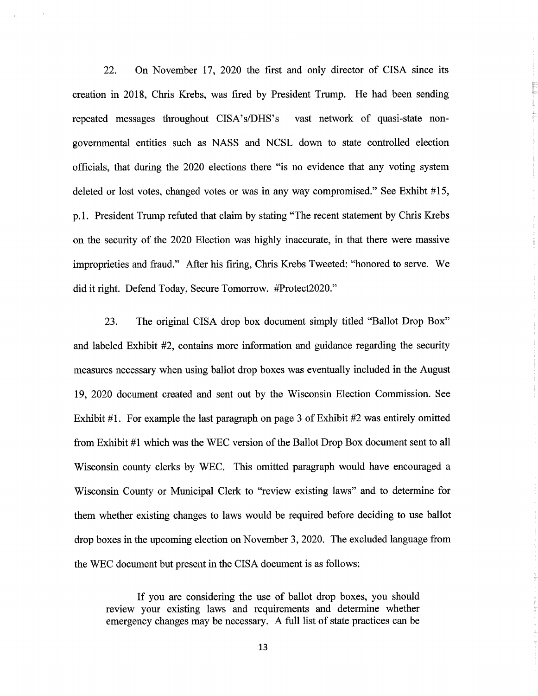22. On November 17, 2020 the first and only director of CISA since its creation in 2018, Chris Krebs, was fired by President Trump. He had been sending repeated messages throughout CISA's/DHS's vast network of quasi-state nongovernmental entities such as NASS and NCSL down to state controlled election officials, that during the 2020 elections there "is no evidence that any voting system deleted or lost votes, changed votes or was in any way compromised." See Exhibt #15, p.l. President Trump refuted that claim by stating "The recent statement by Chris Krebs on the security of the 2020 Election was highly inaccurate, in that there were massive improprieties and fraud." After his firing, Chris Krebs Tweeted: "honored to serve. We did it right. Defend Today, Secure Tomorrow. #Protect2020."

23. The original CISA drop box document simply titled "Ballot Drop Box" and labeled Exhibit #2, contains more information and guidance regarding the security measures necessary when using ballot drop boxes was eventually included in the August 19, 2020 document created and sent out by the Wisconsin Election Commission. See Exhibit #1. For example the last paragraph on page 3 of Exhibit #2 was entirely omitted from Exhibit #1 which was the WEC version of the Ballot Drop Box document sent to all Wisconsin county clerks by WEC. This omitted paragraph would have encouraged a Wisconsin County or Municipal Clerk to "review existing laws" and to determine for them whether existing changes to laws would be required before deciding to use ballot drop boxes in the upcoming election on November 3, 2020. The excluded language from the WEC document but present in the CISA document is as follows:

If you are considering the use of ballot drop boxes, you should review your existing laws and requirements and determine whether emergency changes may be necessary. A full list of state practices can be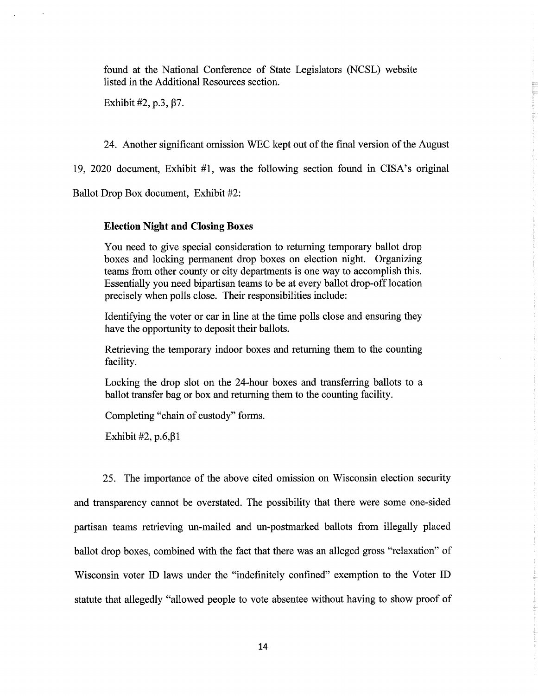found at the National Conference of State Legislators (NCSL) website listed in the Additional Resources section.

Exhibit  $\#2$ , p.3,  $\beta$ 7.

24. Another significant omission WEC kept out of the final version of the August

19, 2020 document, Exhibit #1, was the following section found in CISA's original

Ballot Drop Box document, Exhibit #2:

#### Election Night and Closing Boxes

You need to give special consideration to returning temporary ballot drop boxes and locking permanent drop boxes on election night. Organizing teams from other county or city departments is one way to accomplish this. Essentially you need bipartisan teams to be at every ballot drop-off location precisely when polls close. Their responsibilities include:

Identifying the voter or car in line at the time polls close and ensuring they have the opportunity to deposit their ballots.

Retrieving the temporary indoor boxes and returning them to the counting facility.

Locking the drop slot on the 24-hour boxes and transferring ballots to a ballot transfer bag or box and returning them to the counting facility.

Completing "chain of custody" forms.

Exhibit #2, p.6, β1

25. The importance of the above cited omission on Wisconsin election security and transparency cannot be overstated. The possibility that there were some one-sided partisan teams retrieving un-mailed and un-postmarked ballots from illegally placed ballot drop boxes, combined with the fact that there was an alleged gross "relaxation" of Wisconsin voter ID laws under the "indefinitely confined" exemption to the Voter ID statute that allegedly "allowed people to vote absentee without having to show proof of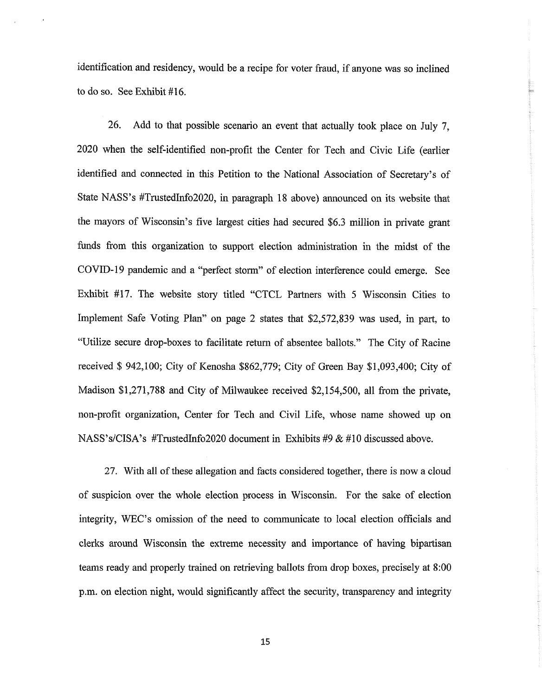identification and residency, would be a recipe for voter fraud, if anyone was so inclined to do so. See Exhibit #16.

26. Add to that possible scenario an event that actually took place on July 7, 2020 when the self-identified non-profit the Center for Tech and Civic Life (earlier identified and connected in this Petition to the National Association of Secretary's of State NASS's #TrustedInfo2020, in paragraph 18 above) announced on its website that the mayors of Wisconsin's five largest cities had secured \$6.3 million in private grant funds from this organization to support election administration in the midst of the COVED-19 pandemic and a "perfect storm" of election interference could emerge. See Exhibit #17. The website story titled "CTCL Partners with 5 Wisconsin Cities to Implement Safe Voting Plan" on page 2 states that \$2,572,839 was used, in part, to "Utilize secure drop-boxes to facilitate return of absentee ballots." The City of Racine received \$ 942,100; City of Kenosha \$862,779; City of Green Bay \$1,093,400; City of Madison \$1,271,788 and City of Milwaukee received \$2,154,500, all from the private, non-profit organization, Center for Tech and Civil Life, whose name showed up on NASS's/CISA's #TrustedInfo2020 document in Exhibits #9 & #10 discussed above.

27. With all of these allegation and facts considered together, there is now a cloud of suspicion over the whole election process in Wisconsin. For the sake of election integrity, WEC's omission of the need to communicate to local election officials and clerks around Wisconsin the extreme necessity and importance of having bipartisan teams ready and properly trained on retrieving ballots from drop boxes, precisely at 8:00 p.m. on election night, would significantly affect the security, transparency and integrity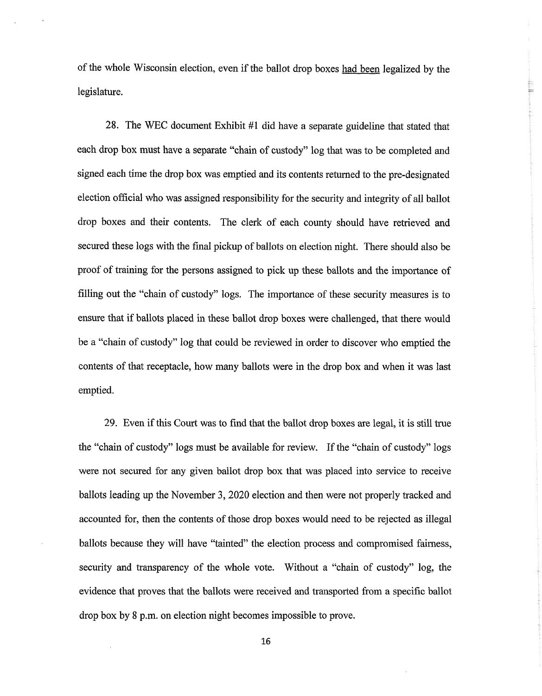of the whole Wisconsin election, even if the ballot drop boxes had been legalized by the legislature.

28. The WEC document Exhibit #1 did have a separate guideline that stated that each drop box must have a separate "chain of custody" log that was to be completed and signed each time the drop box was emptied and its contents returned to the pre-designated election official who was assigned responsibility for the security and integrity of all ballot drop boxes and their contents. The clerk of each county should have retrieved and secured these logs with the final pickup of ballots on election night. There should also be proof of training for the persons assigned to pick up these ballots and the importance of filling out the "chain of custody" logs. The importance of these security measures is to ensure that if ballots placed in these ballot drop boxes were challenged, that there would be a "chain of custody" log that could be reviewed in order to discover who emptied the contents of that receptacle, how many ballots were in the drop box and when it was last emptied.

29. Even if this Court was to find that the ballot drop boxes are legal, it is still true the "chain of custody" logs must be available for review. If the "chain of custody" logs were not secured for any given ballot drop box that was placed into service to receive ballots leading up the November 3, 2020 election and then were not properly tracked and accounted for, then the contents of those drop boxes would need to be rejected as illegal ballots because they will have "tainted" the election process and compromised fairness, security and transparency of the whole vote. Without a "chain of custody" log, the evidence that proves that the ballots were received and transported from a specific ballot drop box by 8 p.m. on election night becomes impossible to prove.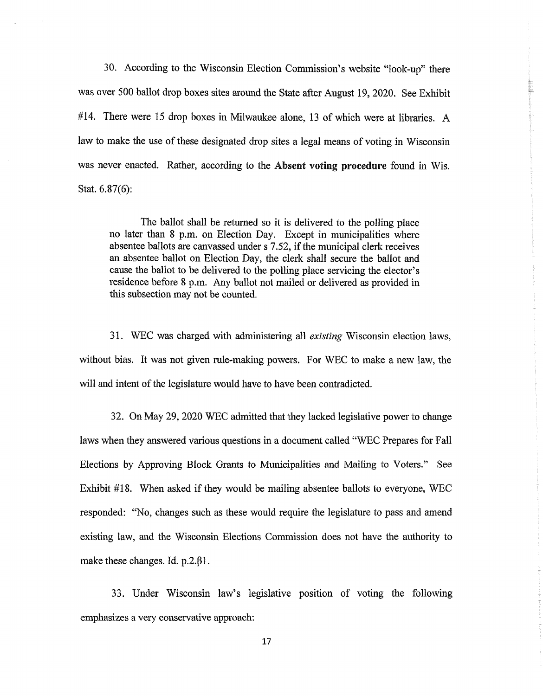30. According to the Wisconsin Election Commission's website "look-up" there was over 500 ballot drop boxes sites around the State after August 19, 2020. See Exhibit #14. There were 15 drop boxes in Milwaukee alone, 13 of which were at libraries. A law to make the use of these designated drop sites a legal means of voting in Wisconsin was never enacted. Rather, according to the Absent **voting procedure** found in Wis. Stat. 6.87(6):

The ballot shall be returned so it is delivered to the polling place no later than 8 p.m. on Election Day. Except in municipalities where absentee ballots are canvassed under s 7.52, if the municipal clerk receives an absentee ballot on Election Day, the clerk shall secure the ballot and cause the ballot to be delivered to the polling place servicing the elector's residence before 8 p.m. Any ballot not mailed or delivered as provided in this subsection may not be counted.

31. WEC was charged with administering all *existing* Wisconsin election laws, without bias. It was not given rule-making powers. For WEC to make a new law, the will and intent of the legislature would have to have been contradicted.

32. On May 29,2020 WEC admitted that they lacked legislative power to change laws when they answered various questions in a document called "WEC Prepares for Fall Elections by Approving Block Grants to Municipalities and Mailing to Voters." See Exhibit  $#18$ . When asked if they would be mailing absentee ballots to everyone, WEC responded: "No, changes such as these would require the legislature to pass and amend existing law, and the Wisconsin Elections Commission does not have the authority to make these changes. Id. p.2. $\beta$ 1.

33. Under Wisconsin law's legislative position of voting the following emphasizes a very conservative approach: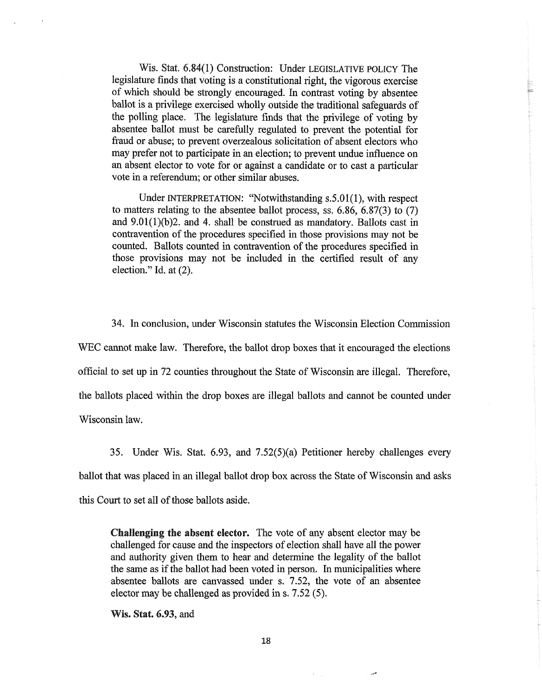Wis. Stat. 6.84(1) Construction: Under LEGISLATIVE POLICY The legislature finds that voting is a constitutional right, the vigorous exercise of which should be strongly encouraged. In contrast voting by absentee ballot is a privilege exercised wholly outside the traditional safeguards of the polling place. The legislature finds that the privilege of voting by absentee ballot must be carefully regulated to prevent the potential for fraud or abuse; to prevent overzealous solicitation of absent electors who may prefer not to participate in an election; to prevent undue influence on an absent elector to vote for or against a candidate or to cast a particular vote in a referendum; or other similar abuses.

Under INTERPRETATION: "Notwithstanding s.5.01(1), with respect to matters relating to the absentee ballot process, ss. 6.86, 6.87(3) to (7) and  $9.01(1)(b)$ 2. and 4. shall be construed as mandatory. Ballots cast in contravention of the procedures specified in those provisions may not be counted. Ballots counted in contravention of the procedures specified in those provisions may not be included in the certified result of any election." Id. at (2).

34. In conclusion, under Wisconsin statutes the Wisconsin Election Commission WEC cannot make law. Therefore, the ballot drop boxes that it encouraged the elections official to set up in 72 counties throughout the State of Wisconsin are illegal. Therefore, the ballots placed within the drop boxes are illegal ballots and cannot be counted under Wisconsin law.

35. Under Wis. Stat. 6.93, and 7.52(5)(a) Petitioner hereby challenges every ballot that was placed in an illegal ballot drop box across the State of Wisconsin and asks this Court to set all of those ballots aside.

**Challenging the absent elector.** The vote of any absent elector may be challenged for cause and the inspectors of election shall have all the power and authority given them to hear and determine the legality of the ballot the same as if the ballot had been voted in person. In municipalities where absentee ballots are canvassed under s. 7.52, the vote of an absentee elector may be challenged as provided in s. 7.52 (5).

**Wis. Stat. 6.93, and**

مبرر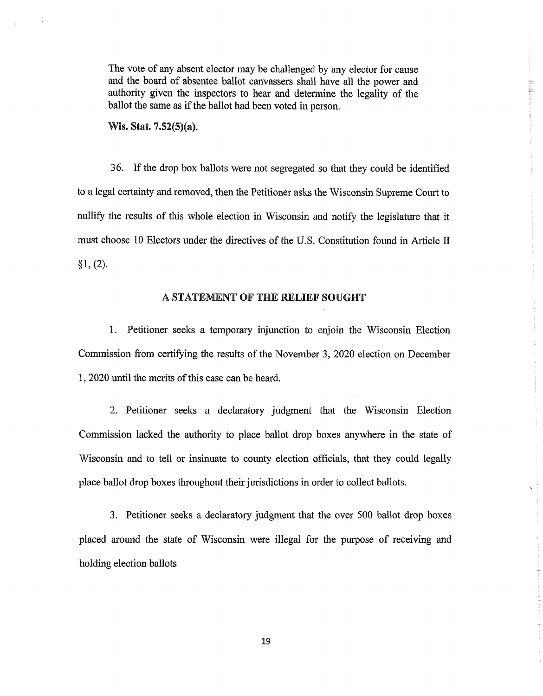The vote of any absent elector may be challenged by any elector for cause and the board of absentee ballot canvassers shall have all the power and authority given the inspectors to hear and determine the legality of the ballot the same as if the ballot had been voted in person.

**Wis. Stat. 7.52(5)(a).**

36. If the drop box ballots were not segregated so that they could be identified to a legal certainty and removed, then the Petitioner asks the Wisconsin Supreme Court to nullify the results of this whole election in Wisconsin and notify the legislature that it must choose 10 Electors under the directives of the U.S. Constitution found in Article II  $§1, (2).$ 

### **A STATEMENT OF THE RELIEF SOUGHT**

1. Petitioner seeks a temporary injunction to enjoin the Wisconsin Election Commission from certifying the results of the November 3, 2020 election on December 1, 2020 until the merits of this case can be heard.

2. Petitioner seeks a declaratory judgment that the Wisconsin Election Commission lacked the authority to place ballot drop boxes anywhere in the state of Wisconsin and to tell or insinuate to county election officials, that they could legally place ballot drop boxes throughout their jurisdictions in order to collect ballots.

3. Petitioner seeks a declaratory judgment that the over 500 ballot drop boxes placed around the state of Wisconsin were illegal for the purpose of receiving and holding election ballots